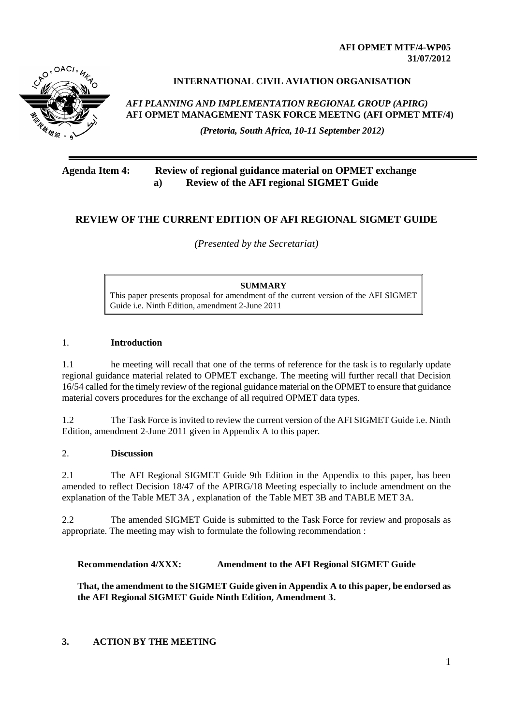**AFI OPMET MTF/4-WP05 31/07/2012**



## **INTERNATIONAL CIVIL AVIATION ORGANISATION**

*AFI PLANNING AND IMPLEMENTATION REGIONAL GROUP (APIRG)* **AFI OPMET MANAGEMENT TASK FORCE MEETNG (AFI OPMET MTF/4)** 

*(Pretoria, South Africa, 10-11 September 2012)*

## **Agenda Item 4: Review of regional guidance material on OPMET exchange a) Review of the AFI regional SIGMET Guide**

# **REVIEW OF THE CURRENT EDITION OF AFI REGIONAL SIGMET GUIDE**

*(Presented by the Secretariat)*

**SUMMARY** This paper presents proposal for amendment of the current version of the AFI SIGMET Guide i.e. Ninth Edition, amendment 2-June 2011

#### 1. **Introduction**

1.1 he meeting will recall that one of the terms of reference for the task is to regularly update regional guidance material related to OPMET exchange. The meeting will further recall that Decision 16/54 called for the timely review of the regional guidance material on the OPMET to ensure that guidance material covers procedures for the exchange of all required OPMET data types.

1.2 The Task Force is invited to review the current version of the AFI SIGMET Guide i.e. Ninth Edition, amendment 2-June 2011 given in Appendix A to this paper.

#### 2. **Discussion**

2.1 The AFI Regional SIGMET Guide 9th Edition in the Appendix to this paper, has been amended to reflect Decision 18/47 of the APIRG/18 Meeting especially to include amendment on the explanation of the Table MET 3A , explanation of the Table MET 3B and TABLE MET 3A.

2.2 The amended SIGMET Guide is submitted to the Task Force for review and proposals as appropriate. The meeting may wish to formulate the following recommendation :

#### **Recommendation 4/XXX: Amendment to the AFI Regional SIGMET Guide**

**That, the amendment to the SIGMET Guide given in Appendix A to this paper, be endorsed as the AFI Regional SIGMET Guide Ninth Edition, Amendment 3.**

## **3. ACTION BY THE MEETING**